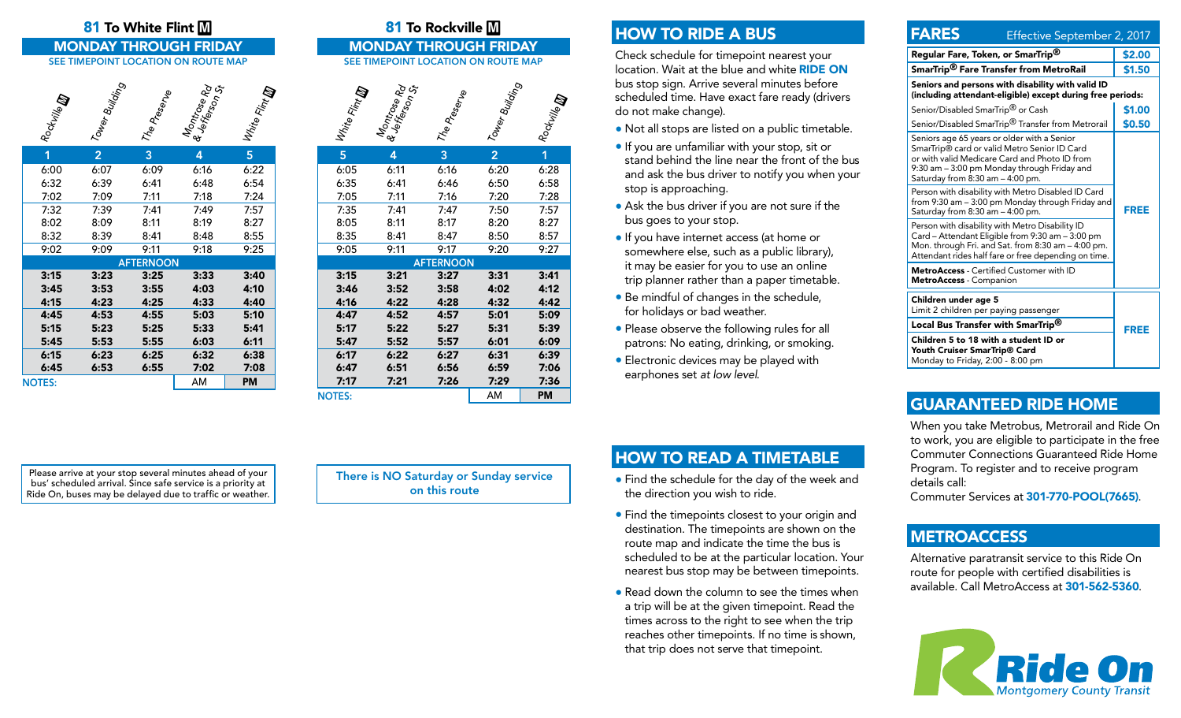# 81 To White Flint  $\boxed{M}$  **81 To Rockville M**

#### Rockville **m** Tower Building<br>The Prese<sub>rve</sub><br>& Jefferse Rd<br>& Jefferson St White Flint<br><sup>White</sup> Flint  $\, \,$   $\,$

| 1                | $\overline{2}$ | 3    | 4    | 5    |  |  |  |
|------------------|----------------|------|------|------|--|--|--|
| 6:00             | 6:07           | 6:09 | 6:16 | 6:22 |  |  |  |
| 6:32             | 6:39           | 6:41 | 6:48 | 6:54 |  |  |  |
| 7:02             | 7:09           | 7:11 | 7:18 | 7:24 |  |  |  |
| 7:32             | 7:39           | 7:41 | 7:49 | 7:57 |  |  |  |
| 8:02             | 8:09           | 8:11 | 8:19 | 8:27 |  |  |  |
| 8:32             | 8:39           | 8:41 | 8:48 | 8:55 |  |  |  |
| 9:02             | 9:09           | 9:11 | 9:18 | 9:25 |  |  |  |
| <b>AFTERNOON</b> |                |      |      |      |  |  |  |
| 3:15             | 3:23           | 3:25 | 3:33 | 3:40 |  |  |  |
| 3:45             | 3:53           | 3:55 | 4:03 | 4:10 |  |  |  |
| 4:15             | 4:23           | 4:25 | 4:33 | 4:40 |  |  |  |
| 4:45             | 4:53           | 4:55 | 5:03 | 5:10 |  |  |  |
| 5:15             | 5:23           | 5:25 | 5:33 | 5:41 |  |  |  |
| 5:45             | 5:53           | 5:55 | 6:03 | 6:11 |  |  |  |
|                  | 6:23           | 6:25 | 6:32 | 6:38 |  |  |  |
| 6:15             |                |      |      |      |  |  |  |
| 6:45             | 6:53           | 6:55 | 7:02 | 7:08 |  |  |  |
| <b>NOTES:</b>    |                |      | AM   | PM   |  |  |  |

MONDAY THROUGH FRIDAY MONDAY THROUGH FRIDAY SEE TIMEPOINT LOCATION ON ROUTE MAP SEE TIMEPOINT LOCATION ON ROUTE MAP



| 8:05             | 8:11 | 8:17 | 8:20 | 8:27 |  |  |  |
|------------------|------|------|------|------|--|--|--|
| 8:35             | 8:41 | 8:47 | 8:50 | 8:57 |  |  |  |
| 9:05             | 9:11 | 9:17 | 9:20 | 9:27 |  |  |  |
| <b>AFTERNOON</b> |      |      |      |      |  |  |  |
| 3:15             | 3:21 | 3:27 | 3:31 | 3:41 |  |  |  |
| 3:46             | 3:52 | 3:58 | 4:02 | 4:12 |  |  |  |
| 4:16             | 4:22 | 4:28 | 4:32 | 4:42 |  |  |  |
| 4:47             | 4:52 | 4:57 | 5:01 | 5:09 |  |  |  |
| 5:17             | 5:22 | 5:27 | 5:31 | 5:39 |  |  |  |
| 5:47             | 5:52 | 5:57 | 6:01 | 6:09 |  |  |  |
| 6:17             | 6:22 | 6:27 | 6:31 | 6:39 |  |  |  |
| 6:47             | 6:51 | 6:56 | 6:59 | 7:06 |  |  |  |
| 7:17             | 7:21 | 7:26 | 7:29 | 7:36 |  |  |  |
| <b>NOTES:</b>    |      |      | AM   | PM   |  |  |  |

# HOW TO RIDE A BUS

Check schedule for timepoint nearest your location. Wait at the blue and white RIDE ON bus stop sign. Arrive several minutes before scheduled time. Have exact fare ready (drivers do not make change).

- Not all stops are listed on a public timetable.
- If you are unfamiliar with your stop, sit or stand behind the line near the front of the bus and ask the bus driver to notify you when your stop is approaching.
- Ask the bus driver if you are not sure if the bus goes to your stop.
- If you have internet access (at home or somewhere else, such as a public library), it may be easier for you to use an online trip planner rather than a paper timetable.
- Be mindful of changes in the schedule, for holidays or bad weather.
- Please observe the following rules for all patrons: No eating, drinking, or smoking.
- Electronic devices may be played with earphones set *at low level*.

| <b>FARES</b><br>Effective September 2, 2017                                                                                                                                                                                     |        |  |  |  |
|---------------------------------------------------------------------------------------------------------------------------------------------------------------------------------------------------------------------------------|--------|--|--|--|
| Regular Fare, Token, or SmarTrip <sup>®</sup>                                                                                                                                                                                   | \$2.00 |  |  |  |
| SmarTrip <sup>®</sup> Fare Transfer from MetroRail                                                                                                                                                                              | \$1.50 |  |  |  |
| Seniors and persons with disability with valid ID<br>(including attendant-eligible) except during free periods:                                                                                                                 |        |  |  |  |
| Senior/Disabled SmarTrip <sup>®</sup> or Cash                                                                                                                                                                                   | \$1.00 |  |  |  |
| Senior/Disabled SmarTrip <sup>®</sup> Transfer from Metrorail                                                                                                                                                                   | \$0.50 |  |  |  |
| Seniors age 65 years or older with a Senior<br>SmarTrip® card or valid Metro Senior ID Card<br>or with valid Medicare Card and Photo ID from<br>9:30 am - 3:00 pm Monday through Friday and<br>Saturday from 8:30 am - 4:00 pm. |        |  |  |  |
| Person with disability with Metro Disabled ID Card<br>from 9:30 am – 3:00 pm Monday through Friday and<br>Saturday from 8:30 am - 4:00 pm.                                                                                      | FREE   |  |  |  |
| Person with disability with Metro Disability ID<br>Card - Attendant Eligible from 9:30 am - 3:00 pm<br>Mon. through Fri. and Sat. from 8:30 am - 4:00 pm.<br>Attendant rides half fare or free depending on time.               |        |  |  |  |
| <b>MetroAccess</b> - Certified Customer with ID<br><b>MetroAccess</b> - Companion                                                                                                                                               |        |  |  |  |
| Children under age 5<br>Limit 2 children per paying passenger                                                                                                                                                                   |        |  |  |  |
| Local Bus Transfer with SmarTrip <sup>®</sup>                                                                                                                                                                                   | FREE   |  |  |  |
| Children 5 to 18 with a student ID or<br>Youth Cruiser SmarTrip® Card<br>Monday to Friday, 2:00 - 8:00 pm                                                                                                                       |        |  |  |  |

# GUARANTEED RIDE HOME

When you take Metrobus, Metrorail and Ride On to work, you are eligible to participate in the free Commuter Connections Guaranteed Ride Home Program. To register and to receive program details call:

Commuter Services at 301-770-POOL(7665).

## **METROACCESS**

Alternative paratransit service to this Ride On route for people with certified disabilities is available. Call MetroAccess at 301-562-5360.



Please arrive at your stop several minutes ahead of your bus' scheduled arrival. Since safe service is a priority at Ride On, buses may be delayed due to traffic or weather. There is NO Saturday or Sunday service on this route

# HOW TO READ A TIMETABLE

- Find the schedule for the day of the week and the direction you wish to ride.
- Find the timepoints closest to your origin and destination. The timepoints are shown on the route map and indicate the time the bus is scheduled to be at the particular location. Your nearest bus stop may be between timepoints.
- Read down the column to see the times when a trip will be at the given timepoint. Read the times across to the right to see when the trip reaches other timepoints. If no time is shown, that trip does not serve that timepoint.